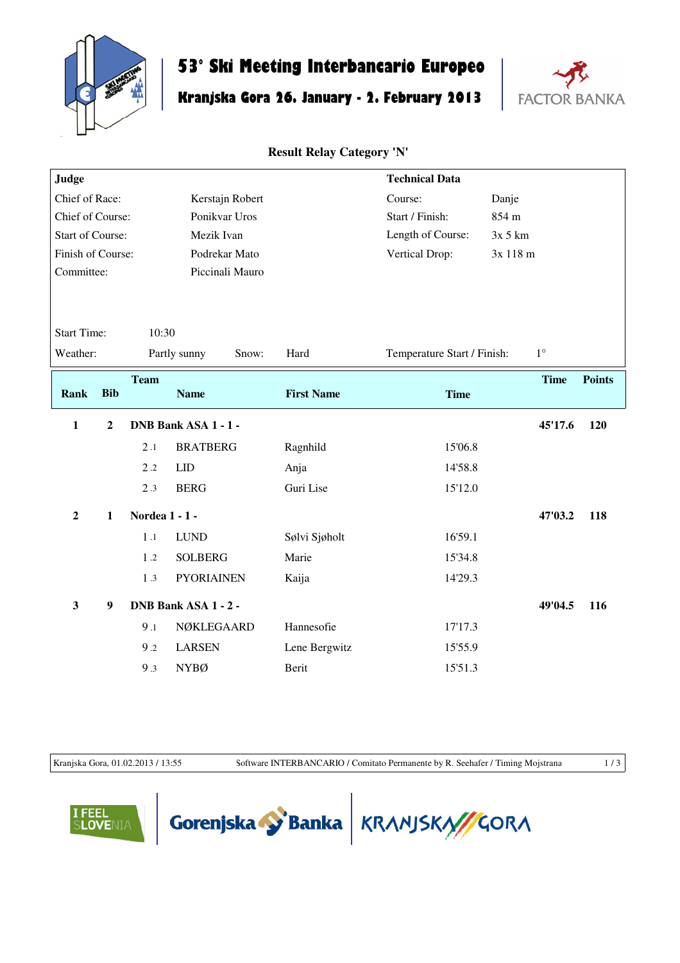

## **53° Ski Meeting Interbancario Europeo**

## **Kranjska Gora 26. January - 2. February 2013**



**Result Relay Category 'N'**

| Judge                                 |                |                       |                      |                   |                   | <b>Technical Data</b>       |          |             |               |
|---------------------------------------|----------------|-----------------------|----------------------|-------------------|-------------------|-----------------------------|----------|-------------|---------------|
| Chief of Race:<br>Kerstajn Robert     |                |                       |                      | Course:           | Danje             |                             |          |             |               |
| Ponikvar Uros<br>Chief of Course:     |                |                       |                      | Start / Finish:   | 854 m             |                             |          |             |               |
| <b>Start of Course:</b><br>Mezik Ivan |                |                       |                      | Length of Course: | $3x$ 5 $km$       |                             |          |             |               |
| Finish of Course:                     |                |                       |                      | Podrekar Mato     |                   | Vertical Drop:              | 3x 118 m |             |               |
| Committee:                            |                |                       |                      | Piccinali Mauro   |                   |                             |          |             |               |
|                                       |                |                       |                      |                   |                   |                             |          |             |               |
|                                       |                |                       |                      |                   |                   |                             |          |             |               |
| <b>Start Time:</b>                    |                | 10:30                 |                      |                   |                   |                             |          |             |               |
| Weather:                              |                |                       | Partly sunny         | Snow:             | Hard              | Temperature Start / Finish: |          | $1^{\circ}$ |               |
|                                       |                | <b>Team</b>           |                      |                   |                   |                             |          | <b>Time</b> | <b>Points</b> |
| <b>Rank</b>                           | <b>Bib</b>     |                       | <b>Name</b>          |                   | <b>First Name</b> | <b>Time</b>                 |          |             |               |
| $\mathbf{1}$                          | $\overline{2}$ |                       | DNB Bank ASA 1 - 1 - |                   |                   |                             |          | 45'17.6     | 120           |
|                                       |                | 2.1                   | <b>BRATBERG</b>      |                   | Ragnhild          | 15'06.8                     |          |             |               |
|                                       |                | $2.2\,$               | LID                  |                   | Anja              | 14'58.8                     |          |             |               |
|                                       |                | 2.3                   | <b>BERG</b>          |                   | Guri Lise         | 15'12.0                     |          |             |               |
| $\overline{2}$                        | $\mathbf{1}$   | <b>Nordea 1 - 1 -</b> |                      |                   |                   |                             |          | 47'03.2     | 118           |
|                                       |                | 1.1                   | <b>LUND</b>          |                   | Sølvi Sjøholt     | 16'59.1                     |          |             |               |
|                                       |                | 1.2                   | <b>SOLBERG</b>       |                   | Marie             | 15'34.8                     |          |             |               |
|                                       |                | 1.3                   | <b>PYORIAINEN</b>    |                   | Kaija             | 14'29.3                     |          |             |               |
| $\mathbf{3}$                          | 9              | DNB Bank ASA 1 - 2 -  |                      |                   |                   |                             | 49'04.5  | 116         |               |
|                                       |                | 9.1                   | NØKLEGAARD           |                   | Hannesofie        | 17'17.3                     |          |             |               |
|                                       |                | 9.2                   | <b>LARSEN</b>        |                   | Lene Bergwitz     | 15'55.9                     |          |             |               |
|                                       |                |                       |                      |                   |                   |                             |          |             |               |
|                                       |                | 9.3                   | <b>NYBØ</b>          |                   | Berit             | 15'51.3                     |          |             |               |

Kranjska Gora, 01.02.2013 / 13:55 Software INTERBANCARIO / Comitato Permanente by R. Seehafer / Timing Mojstrana 1 / 3





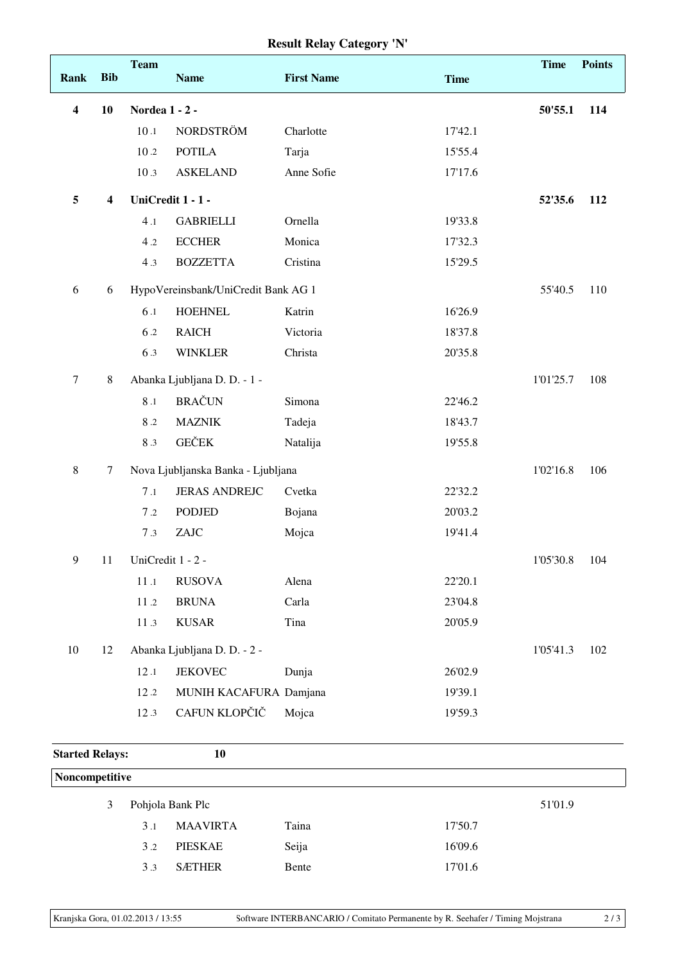## **Result Relay Category 'N'**

|                        |                         | <b>Team</b>    |                                     |                   |             | <b>Time</b> | <b>Points</b> |
|------------------------|-------------------------|----------------|-------------------------------------|-------------------|-------------|-------------|---------------|
| <b>Rank</b>            | <b>Bib</b>              |                | <b>Name</b>                         | <b>First Name</b> | <b>Time</b> |             |               |
| 4                      | 10                      | Nordea 1 - 2 - |                                     |                   |             | 50'55.1     | 114           |
|                        |                         | 10.1           | <b>NORDSTRÖM</b>                    | Charlotte         | 17'42.1     |             |               |
|                        |                         | $10.2$         | <b>POTILA</b>                       | Tarja             | 15'55.4     |             |               |
|                        |                         | 10.3           | <b>ASKELAND</b>                     | Anne Sofie        | 17'17.6     |             |               |
| 5                      | $\overline{\mathbf{4}}$ |                | UniCredit 1 - 1 -                   |                   |             | 52'35.6     | 112           |
|                        |                         | 4.1            | <b>GABRIELLI</b>                    | Ornella           | 19'33.8     |             |               |
|                        |                         | 4.2            | <b>ECCHER</b>                       | Monica            | 17'32.3     |             |               |
|                        |                         | 4.3            | <b>BOZZETTA</b>                     | Cristina          | 15'29.5     |             |               |
| 6                      | 6                       |                | HypoVereinsbank/UniCredit Bank AG 1 |                   |             | 55'40.5     | 110           |
|                        |                         | 6.1            | <b>HOEHNEL</b>                      | Katrin            | 16'26.9     |             |               |
|                        |                         | 6.2            | <b>RAICH</b>                        | Victoria          | 18'37.8     |             |               |
|                        |                         | 6.3            | <b>WINKLER</b>                      | Christa           | 20'35.8     |             |               |
| $\tau$                 | $\,8\,$                 |                | Abanka Ljubljana D. D. - 1 -        |                   |             | 1'01'25.7   | 108           |
|                        |                         | $8\,.1$        | <b>BRAČUN</b>                       | Simona            | 22'46.2     |             |               |
|                        |                         | 8.2            | <b>MAZNIK</b>                       | Tadeja            | 18'43.7     |             |               |
|                        |                         | 8.3            | <b>GEČEK</b>                        | Natalija          | 19'55.8     |             |               |
| $\,8\,$                | 7                       |                | Nova Ljubljanska Banka - Ljubljana  |                   |             | 1'02'16.8   | 106           |
|                        |                         | 7.1            | <b>JERAS ANDREJC</b>                | Cvetka            | 22'32.2     |             |               |
|                        |                         | 7.2            | <b>PODJED</b>                       | Bojana            | 20'03.2     |             |               |
|                        |                         | 7.3            | ZAJC                                | Mojca             | 19'41.4     |             |               |
| 9                      | 11                      |                | UniCredit 1 - 2 -                   |                   |             | 1'05'30.8   | 104           |
|                        |                         | 11.1           | <b>RUSOVA</b>                       | Alena             | 22'20.1     |             |               |
|                        |                         | $11.2\,$       | <b>BRUNA</b>                        | Carla             | 23'04.8     |             |               |
|                        |                         | 11.3           | <b>KUSAR</b>                        | Tina              | 20'05.9     |             |               |
| 10                     | 12                      |                | Abanka Ljubljana D. D. - 2 -        |                   |             | 1'05'41.3   | 102           |
|                        |                         | 12.1           | <b>JEKOVEC</b>                      | Dunja             | 26'02.9     |             |               |
|                        |                         | 12.2           | MUNIH KACAFURA Damjana              |                   | 19'39.1     |             |               |
|                        |                         | 12.3           | CAFUN KLOPČIČ                       | Mojca             | 19'59.3     |             |               |
| <b>Started Relays:</b> |                         |                | 10                                  |                   |             |             |               |

| Noncompetitive |  |                             |                 |       |         |  |  |  |
|----------------|--|-----------------------------|-----------------|-------|---------|--|--|--|
| 3              |  | Pohjola Bank Plc<br>51'01.9 |                 |       |         |  |  |  |
|                |  | 3.1                         | <b>MAAVIRTA</b> | Taina | 17'50.7 |  |  |  |
|                |  | 3.2                         | <b>PIESKAE</b>  | Seija | 16'09.6 |  |  |  |
|                |  | 3.3                         | <b>SÆTHER</b>   | Bente | 17'01.6 |  |  |  |